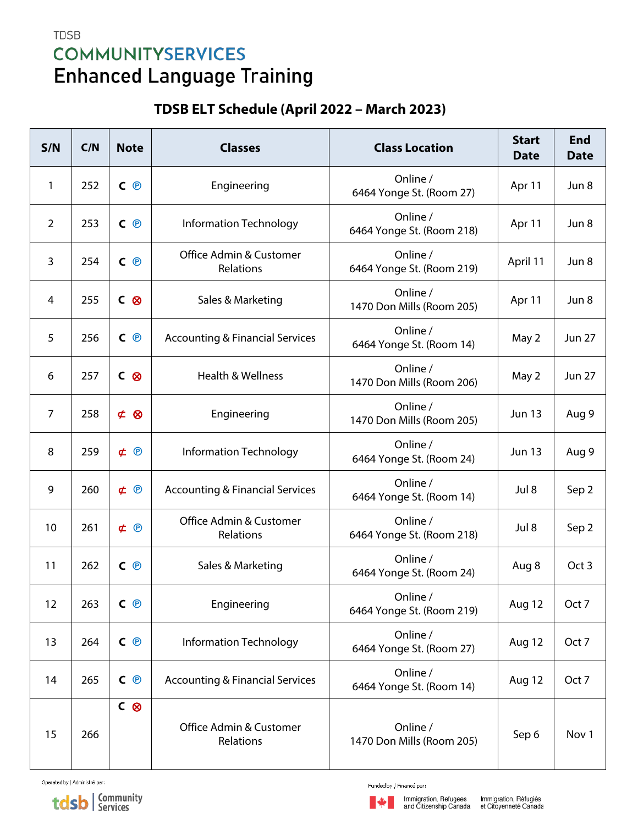## **TDSB COMMUNITYSERVICES Enhanced Language Training**

## TDSB ELT Schedule (April 2022 - March 2023)

| S/N            | C/N | <b>Note</b>         | <b>Classes</b>                             | <b>Class Location</b>                 | <b>Start</b><br><b>Date</b> | <b>End</b><br><b>Date</b> |
|----------------|-----|---------------------|--------------------------------------------|---------------------------------------|-----------------------------|---------------------------|
| 1              | 252 | $C$ $\Theta$        | Engineering                                | Online /<br>6464 Yonge St. (Room 27)  | Apr 11                      | Jun 8                     |
| $\overline{2}$ | 253 | $C$ $\Theta$        | Information Technology                     | Online /<br>6464 Yonge St. (Room 218) | Apr 11                      | Jun 8                     |
| 3              | 254 | $C$ $\odot$         | Office Admin & Customer<br>Relations       | Online /<br>6464 Yonge St. (Room 219) | April 11                    | Jun 8                     |
| 4              | 255 | C &                 | Sales & Marketing                          | Online /<br>1470 Don Mills (Room 205) | Apr 11                      | Jun 8                     |
| 5              | 256 | $C$ $\odot$         | <b>Accounting &amp; Financial Services</b> | Online /<br>6464 Yonge St. (Room 14)  | May 2                       | <b>Jun 27</b>             |
| 6              | 257 | C &                 | Health & Wellness                          | Online /<br>1470 Don Mills (Room 206) | May 2                       | <b>Jun 27</b>             |
| $\overline{7}$ | 258 | $\phi$<br>$\otimes$ | Engineering                                | Online /<br>1470 Don Mills (Room 205) | <b>Jun 13</b>               | Aug 9                     |
| 8              | 259 | $\notin \Theta$     | Information Technology                     | Online /<br>6464 Yonge St. (Room 24)  | <b>Jun 13</b>               | Aug 9                     |
| 9              | 260 | $\not\subset \odot$ | <b>Accounting &amp; Financial Services</b> | Online /<br>6464 Yonge St. (Room 14)  | Jul 8                       | Sep 2                     |
| 10             | 261 | $\notin \Theta$     | Office Admin & Customer<br>Relations       | Online /<br>6464 Yonge St. (Room 218) | Jul 8                       | Sep 2                     |
| 11             | 262 | $C$ $\odot$         | Sales & Marketing                          | Online /<br>6464 Yonge St. (Room 24)  | Aug 8                       | Oct 3                     |
| 12             | 263 | $C$ $\odot$         | Engineering                                | Online /<br>6464 Yonge St. (Room 219) | Aug 12                      | Oct 7                     |
| 13             | 264 | $C$ $\Theta$        | Information Technology                     | Online /<br>6464 Yonge St. (Room 27)  | Aug 12                      | Oct 7                     |
| 14             | 265 | C <sup>®</sup>      | <b>Accounting &amp; Financial Services</b> | Online /<br>6464 Yonge St. (Room 14)  | Aug 12                      | Oct 7                     |
| 15             | 266 | C <sup>®</sup>      | Office Admin & Customer<br>Relations       | Online /<br>1470 Don Mills (Room 205) | Sep 6                       | Nov 1                     |

Operated by / Administré par:

tdsb | Community

Funded by / Financé par: